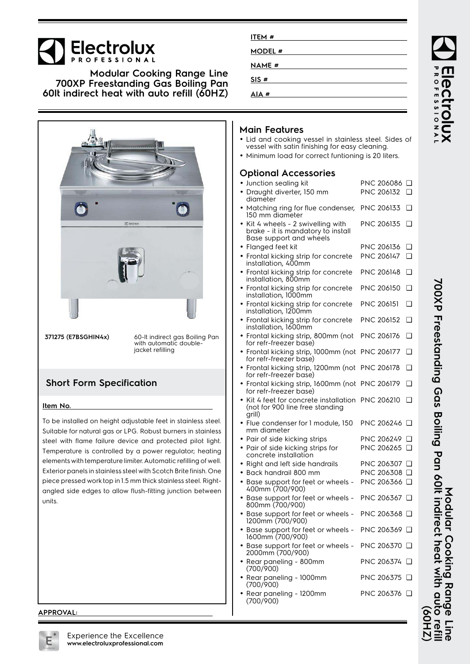# Electrolux

**Modular Cooking Range Line 700XP Freestanding Gas Boiling Pan 60lt indirect heat with auto refill (60HZ)**



**371275 (E7BSGHIN4x)** 60-lt indirect gas Boiling Pan with automatic doublejacket refilling

## **Short Form Specification**

#### **Item No.**

To be installed on height adjustable feet in stainless steel. Suitable for natural gas or LPG. Robust burners in stainless steel with flame failure device and protected pilot light. Temperature is controlled by a power regulator; heating elements with temperature limiter. Automatic refilling of well. Exterior panels in stainless steel with Scotch Brite finish. One piece pressed work top in 1.5 mm thick stainless steel. Rightangled side edges to allow flush-fitting junction between units.

| ITEM#   |  |
|---------|--|
| MODEL # |  |
| NAME #  |  |
| SIS#    |  |
| AIA#    |  |

## **Main Features**

- Lid and cooking vessel in stainless steel. Sides of vessel with satin finishing for easy cleaning.
- Minimum load for correct funtioning is 20 liters.

### **Optional Accessories**

| • Junction sealing kit                                                            | PNC 206086 □           |
|-----------------------------------------------------------------------------------|------------------------|
| · Draught diverter, 150 mm                                                        | PNC 206132<br>◻        |
| diameter                                                                          |                        |
| • Matching ring for flue condenser,<br>150 mm diameter                            | PNC 206133<br>❏        |
| • Kit 4 wheels - 2 swivelling with                                                | PNC 206135<br>◘        |
| brake - it is mandatory to install                                                |                        |
| Base support and wheels                                                           |                        |
| • Flanged feet kit                                                                | PNC 206136<br>❏        |
| • Frontal kicking strip for concrete<br>installation, 400mm                       | PNC 206147<br><b>□</b> |
| • Frontal kicking strip for concrete<br>installation, 800mm                       | <b>PNC 206148</b><br>∩ |
| • Frontal kicking strip for concrete<br>installation, 1000mm                      | PNC 206150<br>❏        |
| • Frontal kicking strip for concrete<br>installation, 1200mm                      | <b>PNC 206151</b><br>∩ |
| • Frontal kicking strip for concrete<br>installation, 1600mm                      | <b>PNC 206152</b><br>❏ |
| • Frontal kicking strip, 800mm (not<br>for refr-freezer base)                     | PNC 206176<br>❏        |
| • Frontal kicking strip, 1000mm (not                                              | <b>PNC 206177</b><br>∩ |
| for refr-freezer base)<br>• Frontal kicking strip, 1200mm (not                    | PNC 206178<br>❏        |
| for refr-freezer base)                                                            |                        |
| • Frontal kicking strip, 1600mm (not<br>for refr-freezer base)                    | <b>PNC 206179</b><br>❏ |
| Kit 4 feet for concrete installation<br>(not for 900 line free standing<br>grill) | <b>PNC 206210</b><br>□ |
| · Flue condenser for 1 module, 150<br>mm diameter                                 | PNC 206246 □           |
| • Pair of side kicking strips                                                     | <b>PNC 206249</b><br>□ |
| • Pair of side kicking strips for<br>concrete installation                        | PNC 206265 □           |
| • Right and left side handrails                                                   | PNC 206307 □           |
| • Back handrail 800 mm                                                            | PNC 206308 <b>□</b>    |
| • Base support for feet or wheels -                                               | PNC 206366 □           |
| 400mm (700/900)                                                                   |                        |
| • Base support for feet or wheels -<br>800mm (700/900)                            | PNC 206367 Q           |
| • Base support for feet or wheels -<br>1200mm (700/900)                           | PNC 206368 Q           |
| Base support for feet or wheels -<br>1600mm (700/900)                             | PNC 206369 □           |
| • Base support for feet or wheels -<br>2000mm (700/900)                           | PNC 206370 □           |
| • Rear paneling - 800mm<br>(700/900)                                              | PNC 206374<br>□□       |
| • Rear paneling - 1000mm<br>(700/900)                                             | PNC 206375 □           |
| Rear paneling - 1200mm<br>(700/900)                                               | PNC 206376 □           |
|                                                                                   |                        |

700XP Freestanding Gas Boiling Pan 60It indirect heat with auto ref **700XP Freestanding Gas Boiling Pan 60lt indirect heat with auto refill (60HZ)** Modular Cooking Range **Modular Cooking Range Line** ZH<sub>09</sub>)

**ROFESSIONAI** 

Dal

#### **APPROVAL:**

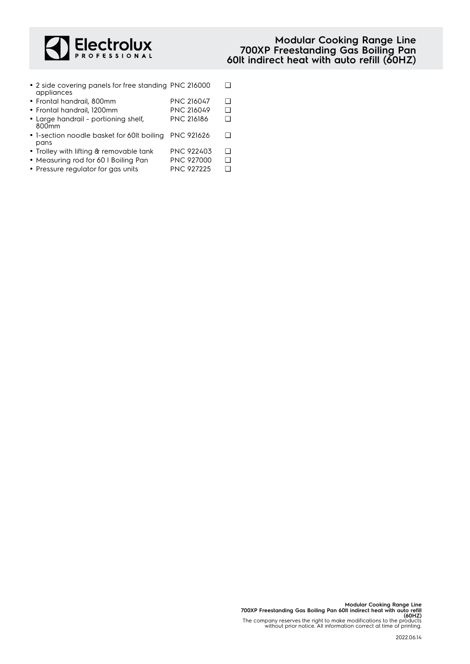

- 2 side covering panels for free standing PNC 216000 □ appliances
- Frontal handrail, 800mm PNC 216047 ❑
- Frontal handrail, 1200mm PNC 216049 ❑
- Large handrail portioning shelf, 800mm PNC 216186 ❑
- 1-section noodle basket for 60lt boiling PNC 921626 ❑ pans
- Trolley with lifting & removable tank PNC 922403 ❑
- Measuring rod for 60 l Boiling Pan PNC 927000 □
- Pressure regulator for gas units PNC 927225 ❑